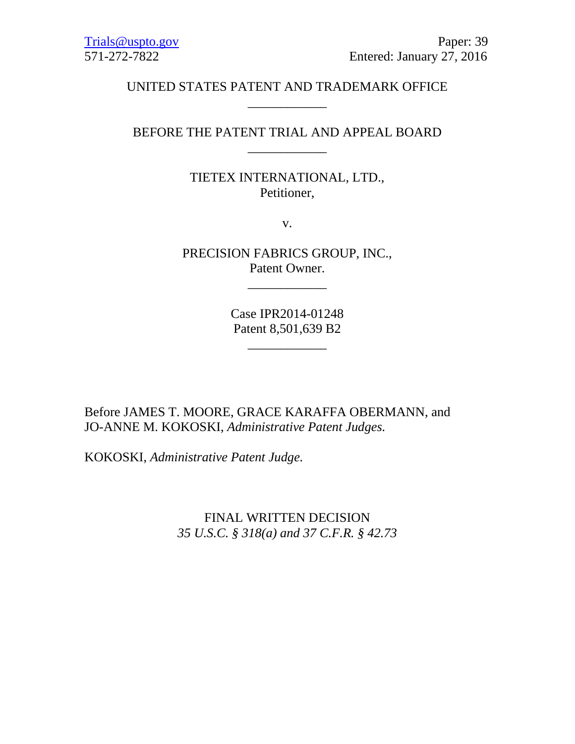# UNITED STATES PATENT AND TRADEMARK OFFICE \_\_\_\_\_\_\_\_\_\_\_\_

# BEFORE THE PATENT TRIAL AND APPEAL BOARD \_\_\_\_\_\_\_\_\_\_\_\_

# TIETEX INTERNATIONAL, LTD., Petitioner,

v.

PRECISION FABRICS GROUP, INC., Patent Owner.

\_\_\_\_\_\_\_\_\_\_\_\_

Case IPR2014-01248 Patent 8,501,639 B2

\_\_\_\_\_\_\_\_\_\_\_\_

Before JAMES T. MOORE, GRACE KARAFFA OBERMANN, and JO-ANNE M. KOKOSKI, *Administrative Patent Judges.*

KOKOSKI, *Administrative Patent Judge.*

FINAL WRITTEN DECISION *35 U.S.C. § 318(a) and 37 C.F.R. § 42.73*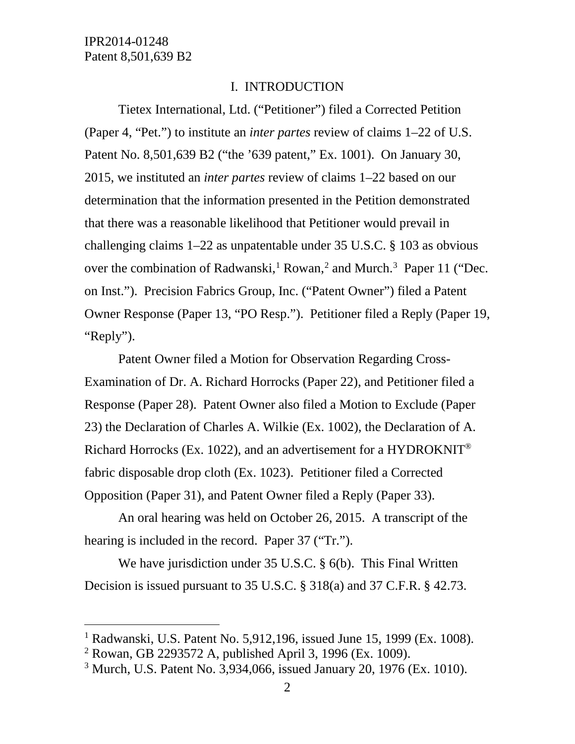#### I. INTRODUCTION

Tietex International, Ltd. ("Petitioner") filed a Corrected Petition (Paper 4, "Pet.") to institute an *inter partes* review of claims 1–22 of U.S. Patent No. 8,501,639 B2 ("the '639 patent," Ex. 1001). On January 30, 2015, we instituted an *inter partes* review of claims 1–22 based on our determination that the information presented in the Petition demonstrated that there was a reasonable likelihood that Petitioner would prevail in challenging claims 1–22 as unpatentable under 35 U.S.C. § 103 as obvious over the combination of Radwanski,<sup>[1](#page-1-0)</sup> Rowan,<sup>[2](#page-1-1)</sup> and Murch.<sup>[3](#page-1-2)</sup> Paper 11 ("Dec. on Inst."). Precision Fabrics Group, Inc. ("Patent Owner") filed a Patent Owner Response (Paper 13, "PO Resp."). Petitioner filed a Reply (Paper 19, "Reply").

Patent Owner filed a Motion for Observation Regarding Cross-Examination of Dr. A. Richard Horrocks (Paper 22), and Petitioner filed a Response (Paper 28). Patent Owner also filed a Motion to Exclude (Paper 23) the Declaration of Charles A. Wilkie (Ex. 1002), the Declaration of A. Richard Horrocks (Ex. 1022), and an advertisement for a HYDROKNIT® fabric disposable drop cloth (Ex. 1023). Petitioner filed a Corrected Opposition (Paper 31), and Patent Owner filed a Reply (Paper 33).

An oral hearing was held on October 26, 2015. A transcript of the hearing is included in the record. Paper 37 ("Tr.").

We have jurisdiction under 35 U.S.C. § 6(b). This Final Written Decision is issued pursuant to 35 U.S.C. § 318(a) and 37 C.F.R. § 42.73.

<span id="page-1-0"></span> <sup>1</sup> Radwanski, U.S. Patent No. 5,912,196, issued June 15, 1999 (Ex. 1008).

<span id="page-1-1"></span><sup>2</sup> Rowan, GB 2293572 A, published April 3, 1996 (Ex. 1009).

<span id="page-1-2"></span><sup>3</sup> Murch, U.S. Patent No. 3,934,066, issued January 20, 1976 (Ex. 1010).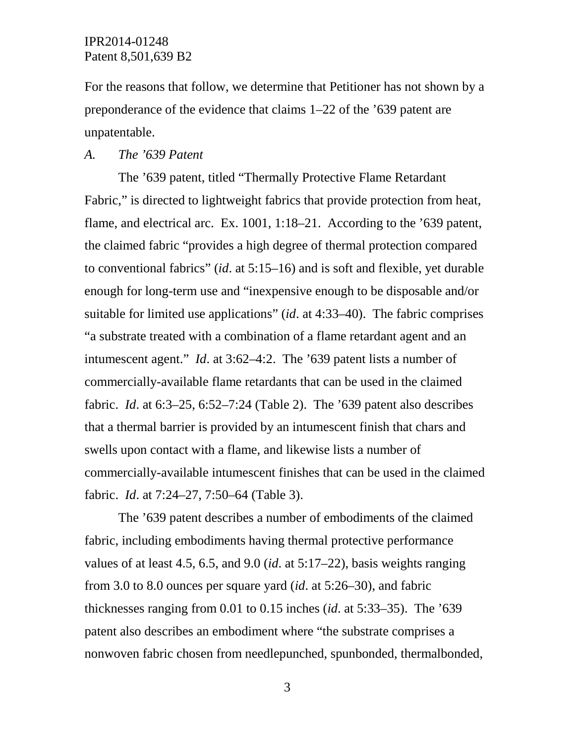For the reasons that follow, we determine that Petitioner has not shown by a preponderance of the evidence that claims 1–22 of the '639 patent are unpatentable.

#### *A. The '639 Patent*

The '639 patent, titled "Thermally Protective Flame Retardant Fabric," is directed to lightweight fabrics that provide protection from heat, flame, and electrical arc. Ex. 1001, 1:18–21. According to the '639 patent, the claimed fabric "provides a high degree of thermal protection compared to conventional fabrics" (*id*. at 5:15–16) and is soft and flexible, yet durable enough for long-term use and "inexpensive enough to be disposable and/or suitable for limited use applications" (*id*. at 4:33–40). The fabric comprises "a substrate treated with a combination of a flame retardant agent and an intumescent agent." *Id*. at 3:62–4:2. The '639 patent lists a number of commercially-available flame retardants that can be used in the claimed fabric. *Id*. at 6:3–25, 6:52–7:24 (Table 2). The '639 patent also describes that a thermal barrier is provided by an intumescent finish that chars and swells upon contact with a flame, and likewise lists a number of commercially-available intumescent finishes that can be used in the claimed fabric. *Id*. at 7:24–27, 7:50–64 (Table 3).

The '639 patent describes a number of embodiments of the claimed fabric, including embodiments having thermal protective performance values of at least 4.5, 6.5, and 9.0 (*id*. at 5:17–22), basis weights ranging from 3.0 to 8.0 ounces per square yard (*id*. at 5:26–30), and fabric thicknesses ranging from 0.01 to 0.15 inches (*id*. at 5:33–35). The '639 patent also describes an embodiment where "the substrate comprises a nonwoven fabric chosen from needlepunched, spunbonded, thermalbonded,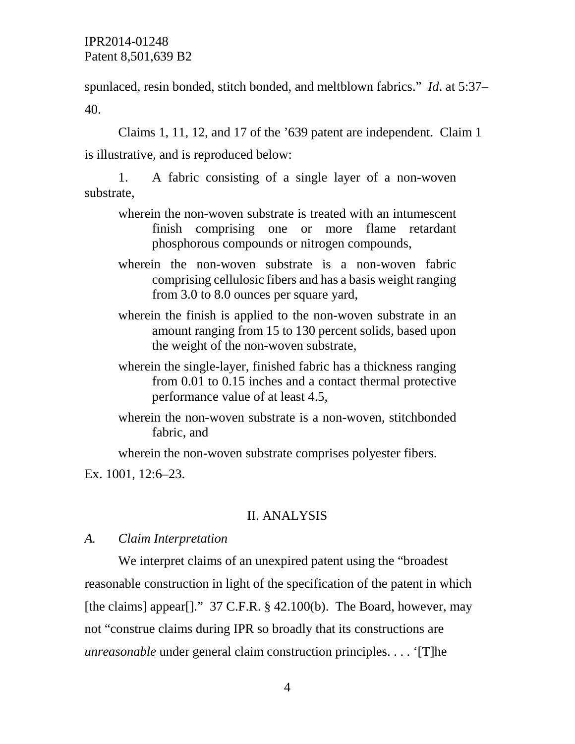spunlaced, resin bonded, stitch bonded, and meltblown fabrics." *Id*. at 5:37– 40.

Claims 1, 11, 12, and 17 of the '639 patent are independent. Claim 1 is illustrative, and is reproduced below:

1. A fabric consisting of a single layer of a non-woven substrate,

- wherein the non-woven substrate is treated with an intumescent finish comprising one or more flame retardant phosphorous compounds or nitrogen compounds,
- wherein the non-woven substrate is a non-woven fabric comprising cellulosic fibers and has a basis weight ranging from 3.0 to 8.0 ounces per square yard,
- wherein the finish is applied to the non-woven substrate in an amount ranging from 15 to 130 percent solids, based upon the weight of the non-woven substrate,
- wherein the single-layer, finished fabric has a thickness ranging from 0.01 to 0.15 inches and a contact thermal protective performance value of at least 4.5,
- wherein the non-woven substrate is a non-woven, stitchbonded fabric, and

wherein the non-woven substrate comprises polyester fibers.

Ex. 1001, 12:6–23.

# II. ANALYSIS

#### *A. Claim Interpretation*

We interpret claims of an unexpired patent using the "broadest reasonable construction in light of the specification of the patent in which [the claims] appear[]."  $37$  C.F.R. § 42.100(b). The Board, however, may not "construe claims during IPR so broadly that its constructions are *unreasonable* under general claim construction principles. . . . '[T]he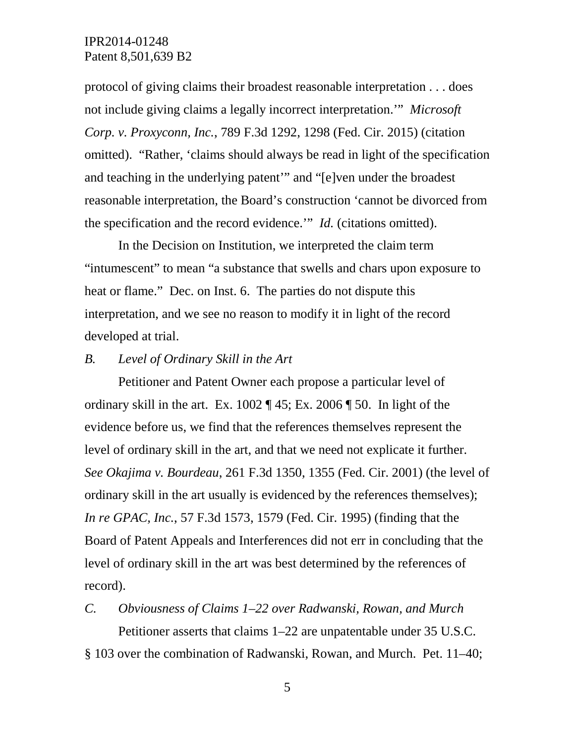protocol of giving claims their broadest reasonable interpretation . . . does not include giving claims a legally incorrect interpretation.'" *Microsoft Corp. v. Proxyconn, Inc.*, 789 F.3d 1292, 1298 (Fed. Cir. 2015) (citation omitted). "Rather, 'claims should always be read in light of the specification and teaching in the underlying patent'" and "[e]ven under the broadest reasonable interpretation, the Board's construction 'cannot be divorced from the specification and the record evidence.'" *Id.* (citations omitted).

In the Decision on Institution, we interpreted the claim term "intumescent" to mean "a substance that swells and chars upon exposure to heat or flame." Dec. on Inst. 6. The parties do not dispute this interpretation, and we see no reason to modify it in light of the record developed at trial.

# *B. Level of Ordinary Skill in the Art*

Petitioner and Patent Owner each propose a particular level of ordinary skill in the art. Ex. 1002 ¶ 45; Ex. 2006 ¶ 50. In light of the evidence before us, we find that the references themselves represent the level of ordinary skill in the art, and that we need not explicate it further. *See Okajima v. Bourdeau*, 261 F.3d 1350, 1355 (Fed. Cir. 2001) (the level of ordinary skill in the art usually is evidenced by the references themselves); *In re GPAC, Inc.*, 57 F.3d 1573, 1579 (Fed. Cir. 1995) (finding that the Board of Patent Appeals and Interferences did not err in concluding that the level of ordinary skill in the art was best determined by the references of record).

*C. Obviousness of Claims 1–22 over Radwanski, Rowan, and Murch* Petitioner asserts that claims 1–22 are unpatentable under 35 U.S.C. § 103 over the combination of Radwanski, Rowan, and Murch. Pet. 11–40;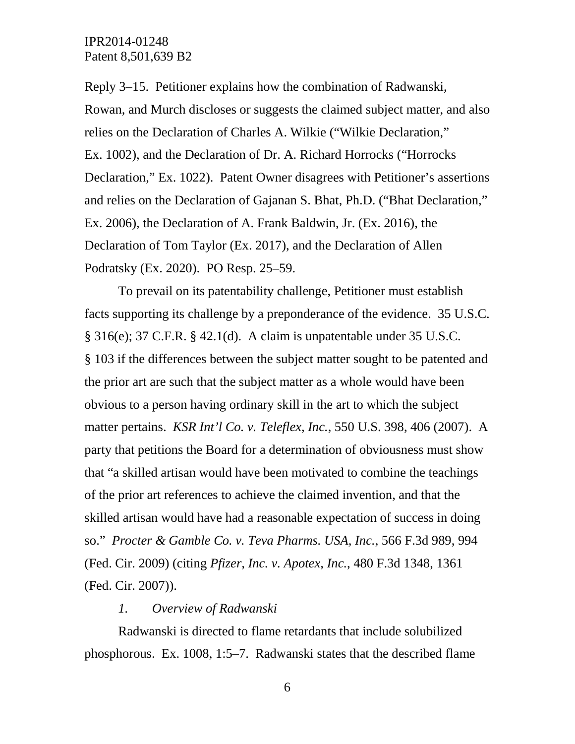Reply 3–15. Petitioner explains how the combination of Radwanski, Rowan, and Murch discloses or suggests the claimed subject matter, and also relies on the Declaration of Charles A. Wilkie ("Wilkie Declaration," Ex. 1002), and the Declaration of Dr. A. Richard Horrocks ("Horrocks Declaration," Ex. 1022). Patent Owner disagrees with Petitioner's assertions and relies on the Declaration of Gajanan S. Bhat, Ph.D. ("Bhat Declaration," Ex. 2006), the Declaration of A. Frank Baldwin, Jr. (Ex. 2016), the Declaration of Tom Taylor (Ex. 2017), and the Declaration of Allen Podratsky (Ex. 2020). PO Resp. 25–59.

To prevail on its patentability challenge, Petitioner must establish facts supporting its challenge by a preponderance of the evidence. 35 U.S.C. § 316(e); 37 C.F.R. § 42.1(d). A claim is unpatentable under 35 U.S.C. § 103 if the differences between the subject matter sought to be patented and the prior art are such that the subject matter as a whole would have been obvious to a person having ordinary skill in the art to which the subject matter pertains. *KSR Int'l Co. v. Teleflex, Inc.*, 550 U.S. 398, 406 (2007). A party that petitions the Board for a determination of obviousness must show that "a skilled artisan would have been motivated to combine the teachings of the prior art references to achieve the claimed invention, and that the skilled artisan would have had a reasonable expectation of success in doing so." *Procter & Gamble Co. v. Teva Pharms. USA, Inc.*, 566 F.3d 989, 994 (Fed. Cir. 2009) (citing *Pfizer, Inc. v. Apotex, Inc.*, 480 F.3d 1348, 1361 (Fed. Cir. 2007)).

#### *1. Overview of Radwanski*

Radwanski is directed to flame retardants that include solubilized phosphorous. Ex. 1008, 1:5–7. Radwanski states that the described flame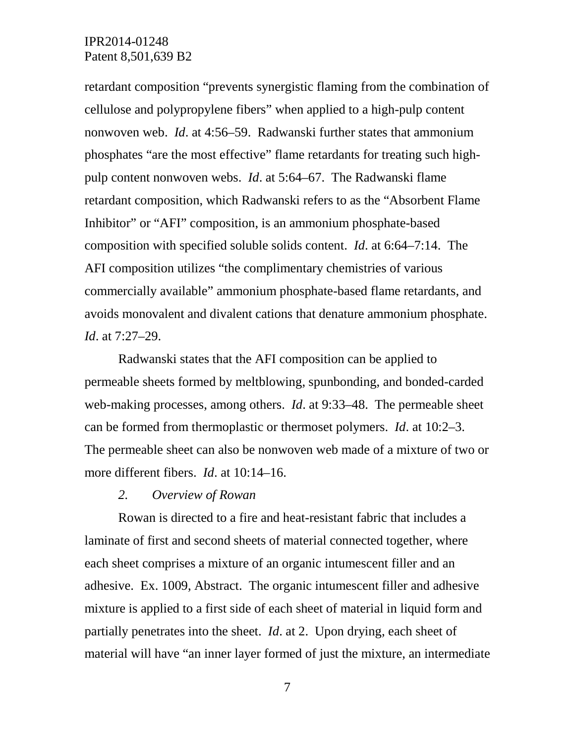retardant composition "prevents synergistic flaming from the combination of cellulose and polypropylene fibers" when applied to a high-pulp content nonwoven web. *Id*. at 4:56–59. Radwanski further states that ammonium phosphates "are the most effective" flame retardants for treating such highpulp content nonwoven webs. *Id*. at 5:64–67. The Radwanski flame retardant composition, which Radwanski refers to as the "Absorbent Flame Inhibitor" or "AFI" composition, is an ammonium phosphate-based composition with specified soluble solids content. *Id*. at 6:64–7:14. The AFI composition utilizes "the complimentary chemistries of various commercially available" ammonium phosphate-based flame retardants, and avoids monovalent and divalent cations that denature ammonium phosphate. *Id*. at 7:27–29.

Radwanski states that the AFI composition can be applied to permeable sheets formed by meltblowing, spunbonding, and bonded-carded web-making processes, among others. *Id*. at 9:33–48. The permeable sheet can be formed from thermoplastic or thermoset polymers. *Id*. at 10:2–3. The permeable sheet can also be nonwoven web made of a mixture of two or more different fibers. *Id*. at 10:14–16.

#### *2. Overview of Rowan*

Rowan is directed to a fire and heat-resistant fabric that includes a laminate of first and second sheets of material connected together, where each sheet comprises a mixture of an organic intumescent filler and an adhesive. Ex. 1009, Abstract. The organic intumescent filler and adhesive mixture is applied to a first side of each sheet of material in liquid form and partially penetrates into the sheet. *Id*. at 2. Upon drying, each sheet of material will have "an inner layer formed of just the mixture, an intermediate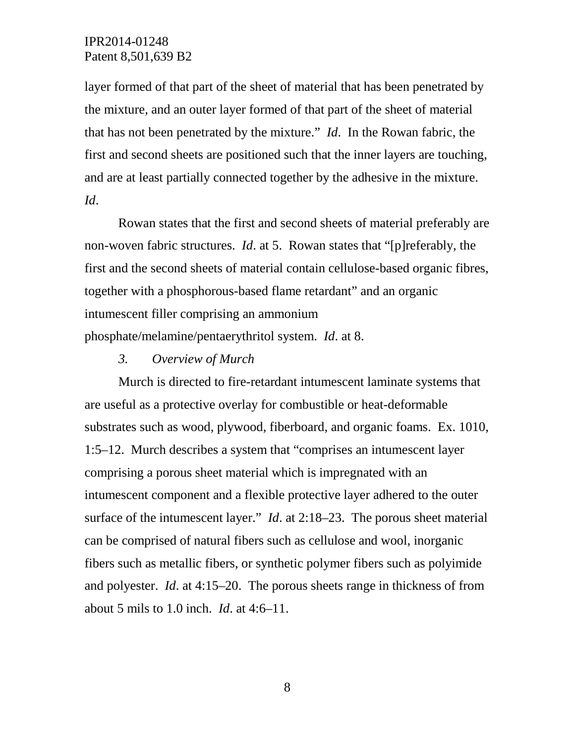layer formed of that part of the sheet of material that has been penetrated by the mixture, and an outer layer formed of that part of the sheet of material that has not been penetrated by the mixture." *Id*. In the Rowan fabric, the first and second sheets are positioned such that the inner layers are touching, and are at least partially connected together by the adhesive in the mixture. *Id*.

Rowan states that the first and second sheets of material preferably are non-woven fabric structures. *Id*. at 5. Rowan states that "[p]referably, the first and the second sheets of material contain cellulose-based organic fibres, together with a phosphorous-based flame retardant" and an organic intumescent filler comprising an ammonium phosphate/melamine/pentaerythritol system. *Id*. at 8.

*3. Overview of Murch* 

Murch is directed to fire-retardant intumescent laminate systems that are useful as a protective overlay for combustible or heat-deformable substrates such as wood, plywood, fiberboard, and organic foams. Ex. 1010, 1:5–12. Murch describes a system that "comprises an intumescent layer comprising a porous sheet material which is impregnated with an intumescent component and a flexible protective layer adhered to the outer surface of the intumescent layer." *Id*. at 2:18–23. The porous sheet material can be comprised of natural fibers such as cellulose and wool, inorganic fibers such as metallic fibers, or synthetic polymer fibers such as polyimide and polyester. *Id*. at 4:15–20. The porous sheets range in thickness of from about 5 mils to 1.0 inch. *Id*. at 4:6–11.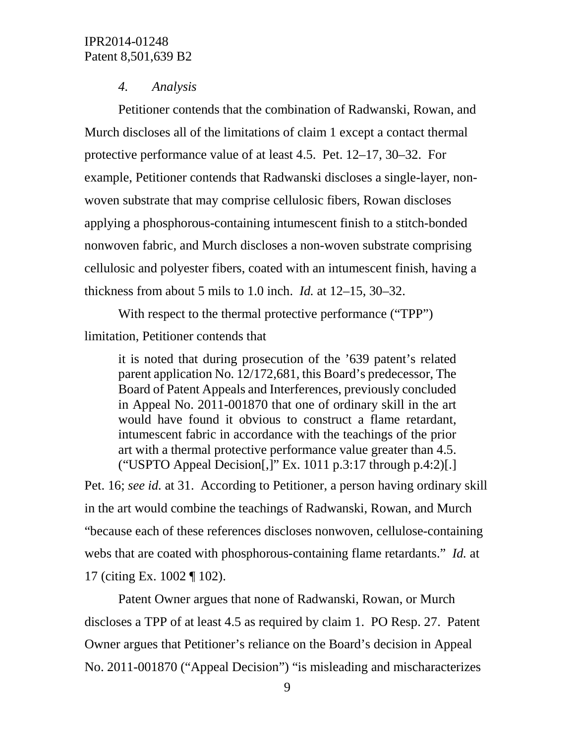#### *4. Analysis*

Petitioner contends that the combination of Radwanski, Rowan, and Murch discloses all of the limitations of claim 1 except a contact thermal protective performance value of at least 4.5. Pet. 12–17, 30–32. For example, Petitioner contends that Radwanski discloses a single-layer, nonwoven substrate that may comprise cellulosic fibers, Rowan discloses applying a phosphorous-containing intumescent finish to a stitch-bonded nonwoven fabric, and Murch discloses a non-woven substrate comprising cellulosic and polyester fibers, coated with an intumescent finish, having a thickness from about 5 mils to 1.0 inch. *Id.* at 12–15, 30–32.

With respect to the thermal protective performance ("TPP")

limitation, Petitioner contends that

it is noted that during prosecution of the '639 patent's related parent application No. 12/172,681, this Board's predecessor, The Board of Patent Appeals and Interferences, previously concluded in Appeal No. 2011-001870 that one of ordinary skill in the art would have found it obvious to construct a flame retardant, intumescent fabric in accordance with the teachings of the prior art with a thermal protective performance value greater than 4.5. ("USPTO Appeal Decision $[$ ," Ex. 1011 p.3:17 through p.4:2) $[$ .]

Pet. 16; *see id.* at 31. According to Petitioner, a person having ordinary skill in the art would combine the teachings of Radwanski, Rowan, and Murch "because each of these references discloses nonwoven, cellulose-containing webs that are coated with phosphorous-containing flame retardants." *Id.* at 17 (citing Ex. 1002 ¶ 102).

Patent Owner argues that none of Radwanski, Rowan, or Murch discloses a TPP of at least 4.5 as required by claim 1. PO Resp. 27. Patent Owner argues that Petitioner's reliance on the Board's decision in Appeal No. 2011-001870 ("Appeal Decision") "is misleading and mischaracterizes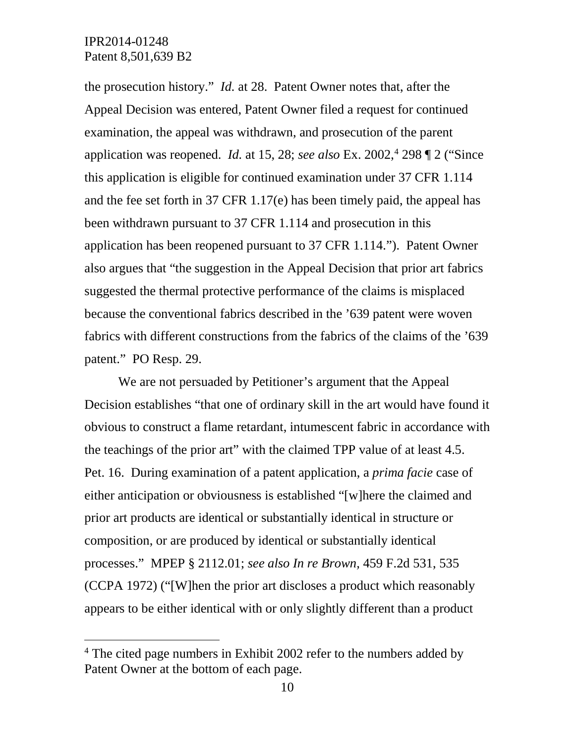the prosecution history." *Id.* at 28. Patent Owner notes that, after the Appeal Decision was entered, Patent Owner filed a request for continued examination, the appeal was withdrawn, and prosecution of the parent application was reopened. *Id.* at 15, 28; *see also* Ex. 2002, [4](#page-9-0) 298 ¶ 2 ("Since this application is eligible for continued examination under 37 CFR 1.114 and the fee set forth in 37 CFR 1.17(e) has been timely paid, the appeal has been withdrawn pursuant to 37 CFR 1.114 and prosecution in this application has been reopened pursuant to 37 CFR 1.114."). Patent Owner also argues that "the suggestion in the Appeal Decision that prior art fabrics suggested the thermal protective performance of the claims is misplaced because the conventional fabrics described in the '639 patent were woven fabrics with different constructions from the fabrics of the claims of the '639 patent." PO Resp. 29.

We are not persuaded by Petitioner's argument that the Appeal Decision establishes "that one of ordinary skill in the art would have found it obvious to construct a flame retardant, intumescent fabric in accordance with the teachings of the prior art" with the claimed TPP value of at least 4.5. Pet. 16. During examination of a patent application, a *prima facie* case of either anticipation or obviousness is established "[w]here the claimed and prior art products are identical or substantially identical in structure or composition, or are produced by identical or substantially identical processes." MPEP § 2112.01; *see also In re Brown,* 459 F.2d 531, 535 (CCPA 1972) ("[W]hen the prior art discloses a product which reasonably appears to be either identical with or only slightly different than a product

<span id="page-9-0"></span><sup>&</sup>lt;sup>4</sup> The cited page numbers in Exhibit 2002 refer to the numbers added by Patent Owner at the bottom of each page.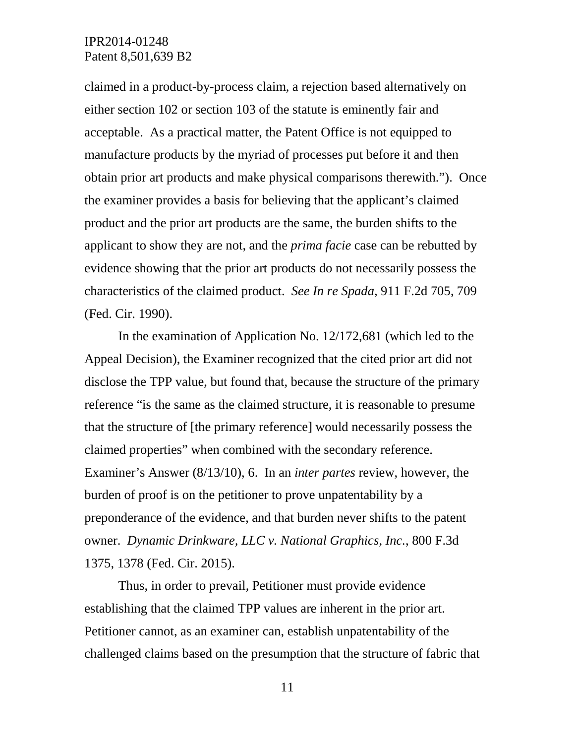claimed in a product-by-process claim, a rejection based alternatively on either section 102 or section 103 of the statute is eminently fair and acceptable. As a practical matter, the Patent Office is not equipped to manufacture products by the myriad of processes put before it and then obtain prior art products and make physical comparisons therewith."). Once the examiner provides a basis for believing that the applicant's claimed product and the prior art products are the same, the burden shifts to the applicant to show they are not, and the *prima facie* case can be rebutted by evidence showing that the prior art products do not necessarily possess the characteristics of the claimed product. *See In re Spada*, 911 F.2d 705, 709 (Fed. Cir. 1990).

In the examination of Application No. 12/172,681 (which led to the Appeal Decision), the Examiner recognized that the cited prior art did not disclose the TPP value, but found that, because the structure of the primary reference "is the same as the claimed structure, it is reasonable to presume that the structure of [the primary reference] would necessarily possess the claimed properties" when combined with the secondary reference. Examiner's Answer (8/13/10), 6. In an *inter partes* review, however, the burden of proof is on the petitioner to prove unpatentability by a preponderance of the evidence, and that burden never shifts to the patent owner. *Dynamic Drinkware, LLC v. National Graphics, Inc.*, 800 F.3d 1375, 1378 (Fed. Cir. 2015).

Thus, in order to prevail, Petitioner must provide evidence establishing that the claimed TPP values are inherent in the prior art. Petitioner cannot, as an examiner can, establish unpatentability of the challenged claims based on the presumption that the structure of fabric that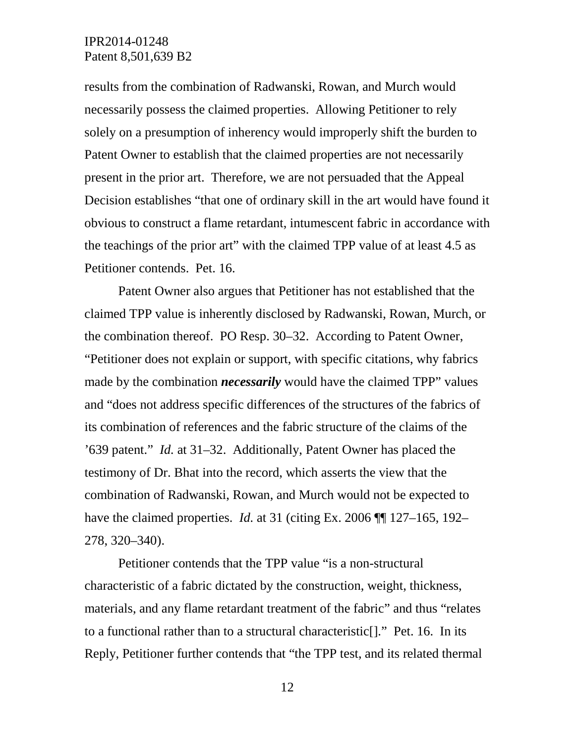results from the combination of Radwanski, Rowan, and Murch would necessarily possess the claimed properties. Allowing Petitioner to rely solely on a presumption of inherency would improperly shift the burden to Patent Owner to establish that the claimed properties are not necessarily present in the prior art. Therefore, we are not persuaded that the Appeal Decision establishes "that one of ordinary skill in the art would have found it obvious to construct a flame retardant, intumescent fabric in accordance with the teachings of the prior art" with the claimed TPP value of at least 4.5 as Petitioner contends. Pet. 16.

Patent Owner also argues that Petitioner has not established that the claimed TPP value is inherently disclosed by Radwanski, Rowan, Murch, or the combination thereof. PO Resp. 30–32. According to Patent Owner, "Petitioner does not explain or support, with specific citations, why fabrics made by the combination *necessarily* would have the claimed TPP" values and "does not address specific differences of the structures of the fabrics of its combination of references and the fabric structure of the claims of the '639 patent." *Id.* at 31–32. Additionally, Patent Owner has placed the testimony of Dr. Bhat into the record, which asserts the view that the combination of Radwanski, Rowan, and Murch would not be expected to have the claimed properties. *Id.* at 31 (citing Ex. 2006 **[1**] 127–165, 192– 278, 320–340).

Petitioner contends that the TPP value "is a non-structural characteristic of a fabric dictated by the construction, weight, thickness, materials, and any flame retardant treatment of the fabric" and thus "relates to a functional rather than to a structural characteristic[]." Pet. 16. In its Reply, Petitioner further contends that "the TPP test, and its related thermal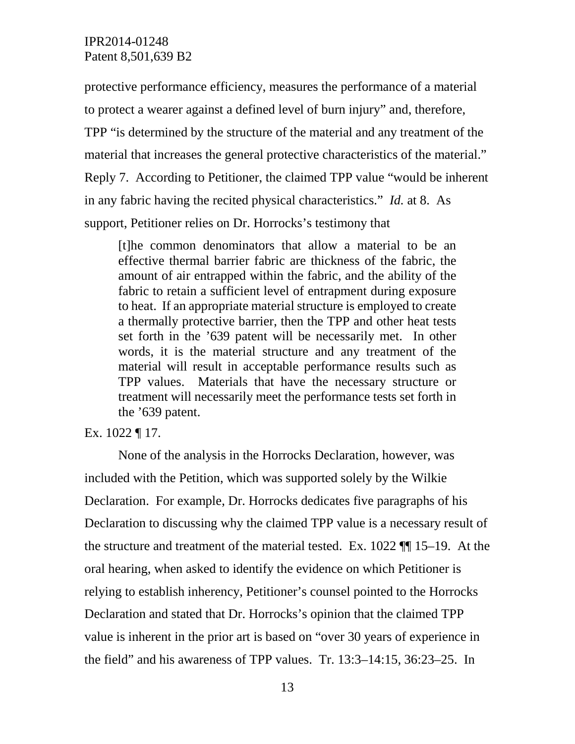protective performance efficiency, measures the performance of a material to protect a wearer against a defined level of burn injury" and, therefore, TPP "is determined by the structure of the material and any treatment of the material that increases the general protective characteristics of the material." Reply 7. According to Petitioner, the claimed TPP value "would be inherent in any fabric having the recited physical characteristics." *Id.* at 8. As support, Petitioner relies on Dr. Horrocks's testimony that

[t]he common denominators that allow a material to be an effective thermal barrier fabric are thickness of the fabric, the amount of air entrapped within the fabric, and the ability of the fabric to retain a sufficient level of entrapment during exposure to heat. If an appropriate material structure is employed to create a thermally protective barrier, then the TPP and other heat tests set forth in the '639 patent will be necessarily met. In other words, it is the material structure and any treatment of the material will result in acceptable performance results such as TPP values. Materials that have the necessary structure or treatment will necessarily meet the performance tests set forth in the '639 patent.

Ex. 1022 ¶ 17.

None of the analysis in the Horrocks Declaration, however, was included with the Petition, which was supported solely by the Wilkie Declaration. For example, Dr. Horrocks dedicates five paragraphs of his Declaration to discussing why the claimed TPP value is a necessary result of the structure and treatment of the material tested. Ex. 1022 ¶¶ 15–19. At the oral hearing, when asked to identify the evidence on which Petitioner is relying to establish inherency, Petitioner's counsel pointed to the Horrocks Declaration and stated that Dr. Horrocks's opinion that the claimed TPP value is inherent in the prior art is based on "over 30 years of experience in the field" and his awareness of TPP values. Tr. 13:3–14:15, 36:23–25. In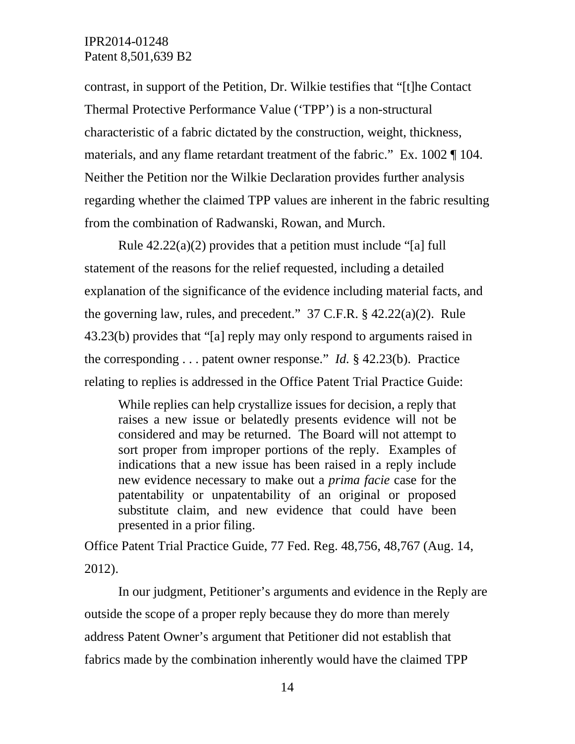contrast, in support of the Petition, Dr. Wilkie testifies that "[t]he Contact Thermal Protective Performance Value ('TPP') is a non-structural characteristic of a fabric dictated by the construction, weight, thickness, materials, and any flame retardant treatment of the fabric." Ex. 1002 ¶ 104. Neither the Petition nor the Wilkie Declaration provides further analysis regarding whether the claimed TPP values are inherent in the fabric resulting from the combination of Radwanski, Rowan, and Murch.

Rule 42.22(a)(2) provides that a petition must include "[a] full statement of the reasons for the relief requested, including a detailed explanation of the significance of the evidence including material facts, and the governing law, rules, and precedent." 37 C.F.R. § 42.22(a)(2). Rule 43.23(b) provides that "[a] reply may only respond to arguments raised in the corresponding . . . patent owner response." *Id.* § 42.23(b). Practice relating to replies is addressed in the Office Patent Trial Practice Guide:

While replies can help crystallize issues for decision, a reply that raises a new issue or belatedly presents evidence will not be considered and may be returned. The Board will not attempt to sort proper from improper portions of the reply. Examples of indications that a new issue has been raised in a reply include new evidence necessary to make out a *prima facie* case for the patentability or unpatentability of an original or proposed substitute claim, and new evidence that could have been presented in a prior filing.

Office Patent Trial Practice Guide, 77 Fed. Reg. 48,756, 48,767 (Aug. 14, 2012).

In our judgment, Petitioner's arguments and evidence in the Reply are outside the scope of a proper reply because they do more than merely address Patent Owner's argument that Petitioner did not establish that fabrics made by the combination inherently would have the claimed TPP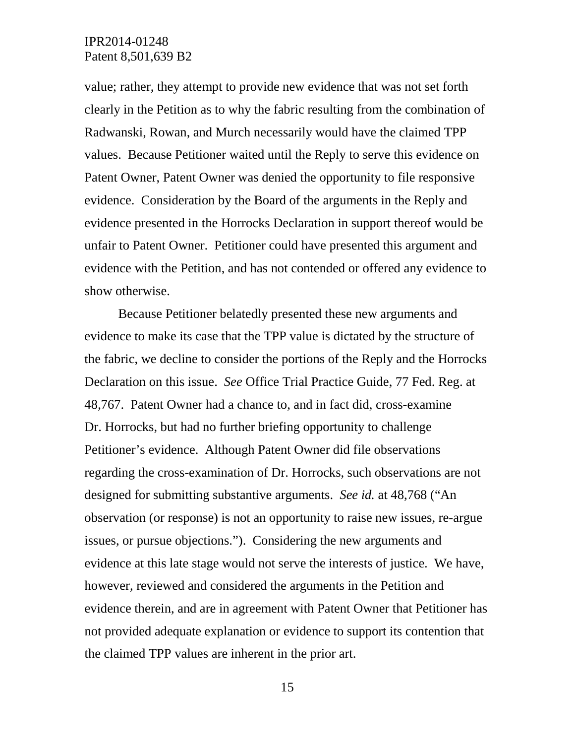value; rather, they attempt to provide new evidence that was not set forth clearly in the Petition as to why the fabric resulting from the combination of Radwanski, Rowan, and Murch necessarily would have the claimed TPP values. Because Petitioner waited until the Reply to serve this evidence on Patent Owner, Patent Owner was denied the opportunity to file responsive evidence. Consideration by the Board of the arguments in the Reply and evidence presented in the Horrocks Declaration in support thereof would be unfair to Patent Owner. Petitioner could have presented this argument and evidence with the Petition, and has not contended or offered any evidence to show otherwise.

Because Petitioner belatedly presented these new arguments and evidence to make its case that the TPP value is dictated by the structure of the fabric, we decline to consider the portions of the Reply and the Horrocks Declaration on this issue. *See* Office Trial Practice Guide, 77 Fed. Reg. at 48,767. Patent Owner had a chance to, and in fact did, cross-examine Dr. Horrocks, but had no further briefing opportunity to challenge Petitioner's evidence. Although Patent Owner did file observations regarding the cross-examination of Dr. Horrocks, such observations are not designed for submitting substantive arguments. *See id.* at 48,768 ("An observation (or response) is not an opportunity to raise new issues, re-argue issues, or pursue objections."). Considering the new arguments and evidence at this late stage would not serve the interests of justice. We have, however, reviewed and considered the arguments in the Petition and evidence therein, and are in agreement with Patent Owner that Petitioner has not provided adequate explanation or evidence to support its contention that the claimed TPP values are inherent in the prior art.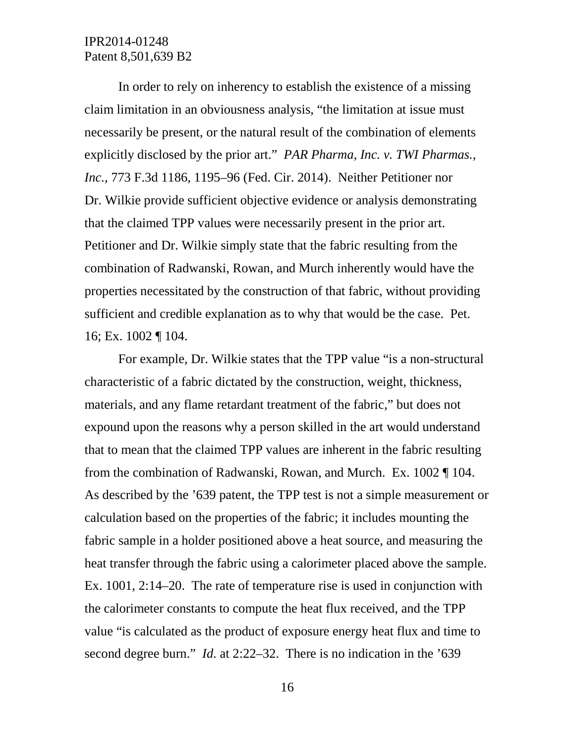In order to rely on inherency to establish the existence of a missing claim limitation in an obviousness analysis, "the limitation at issue must necessarily be present, or the natural result of the combination of elements explicitly disclosed by the prior art." *PAR Pharma, Inc. v. TWI Pharmas., Inc.*, 773 F.3d 1186, 1195–96 (Fed. Cir. 2014). Neither Petitioner nor Dr. Wilkie provide sufficient objective evidence or analysis demonstrating that the claimed TPP values were necessarily present in the prior art. Petitioner and Dr. Wilkie simply state that the fabric resulting from the combination of Radwanski, Rowan, and Murch inherently would have the properties necessitated by the construction of that fabric, without providing sufficient and credible explanation as to why that would be the case. Pet. 16; Ex. 1002 ¶ 104.

For example, Dr. Wilkie states that the TPP value "is a non-structural characteristic of a fabric dictated by the construction, weight, thickness, materials, and any flame retardant treatment of the fabric," but does not expound upon the reasons why a person skilled in the art would understand that to mean that the claimed TPP values are inherent in the fabric resulting from the combination of Radwanski, Rowan, and Murch. Ex. 1002 ¶ 104. As described by the '639 patent, the TPP test is not a simple measurement or calculation based on the properties of the fabric; it includes mounting the fabric sample in a holder positioned above a heat source, and measuring the heat transfer through the fabric using a calorimeter placed above the sample. Ex. 1001, 2:14–20. The rate of temperature rise is used in conjunction with the calorimeter constants to compute the heat flux received, and the TPP value "is calculated as the product of exposure energy heat flux and time to second degree burn." *Id.* at 2:22–32. There is no indication in the '639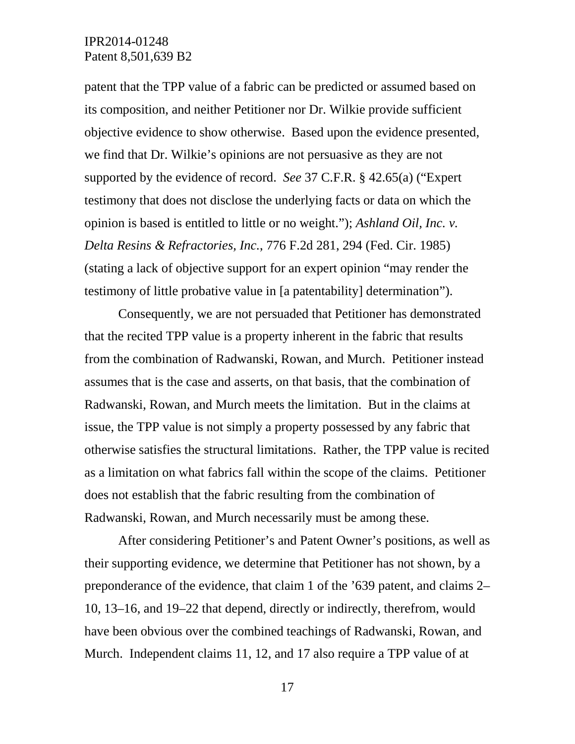patent that the TPP value of a fabric can be predicted or assumed based on its composition, and neither Petitioner nor Dr. Wilkie provide sufficient objective evidence to show otherwise. Based upon the evidence presented, we find that Dr. Wilkie's opinions are not persuasive as they are not supported by the evidence of record. *See* 37 C.F.R. § 42.65(a) ("Expert testimony that does not disclose the underlying facts or data on which the opinion is based is entitled to little or no weight."); *Ashland Oil, Inc. v. Delta Resins & Refractories, Inc.*, 776 F.2d 281, 294 (Fed. Cir. 1985) (stating a lack of objective support for an expert opinion "may render the testimony of little probative value in [a patentability] determination").

Consequently, we are not persuaded that Petitioner has demonstrated that the recited TPP value is a property inherent in the fabric that results from the combination of Radwanski, Rowan, and Murch. Petitioner instead assumes that is the case and asserts, on that basis, that the combination of Radwanski, Rowan, and Murch meets the limitation. But in the claims at issue, the TPP value is not simply a property possessed by any fabric that otherwise satisfies the structural limitations. Rather, the TPP value is recited as a limitation on what fabrics fall within the scope of the claims. Petitioner does not establish that the fabric resulting from the combination of Radwanski, Rowan, and Murch necessarily must be among these.

After considering Petitioner's and Patent Owner's positions, as well as their supporting evidence, we determine that Petitioner has not shown, by a preponderance of the evidence, that claim 1 of the '639 patent, and claims 2– 10, 13–16, and 19–22 that depend, directly or indirectly, therefrom, would have been obvious over the combined teachings of Radwanski, Rowan, and Murch. Independent claims 11, 12, and 17 also require a TPP value of at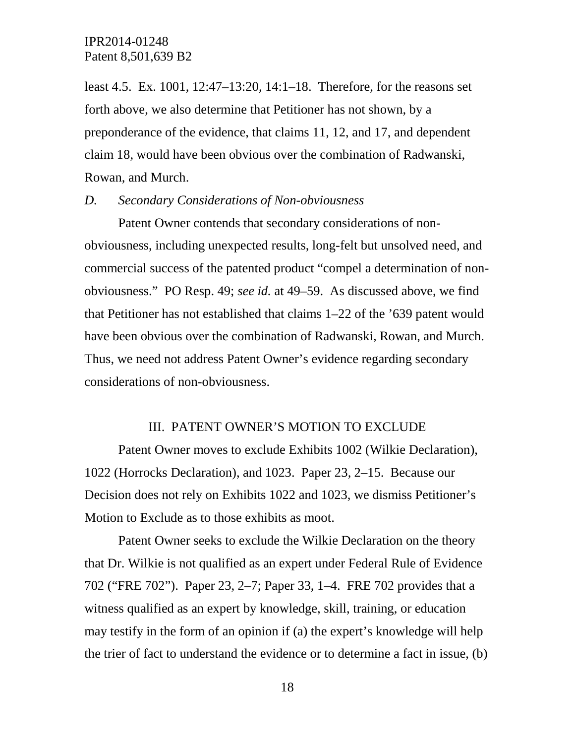least 4.5. Ex. 1001, 12:47–13:20, 14:1–18. Therefore, for the reasons set forth above, we also determine that Petitioner has not shown, by a preponderance of the evidence, that claims 11, 12, and 17, and dependent claim 18, would have been obvious over the combination of Radwanski, Rowan, and Murch.

#### *D. Secondary Considerations of Non-obviousness*

Patent Owner contends that secondary considerations of nonobviousness, including unexpected results, long-felt but unsolved need, and commercial success of the patented product "compel a determination of nonobviousness." PO Resp. 49; *see id.* at 49–59. As discussed above, we find that Petitioner has not established that claims 1–22 of the '639 patent would have been obvious over the combination of Radwanski, Rowan, and Murch. Thus, we need not address Patent Owner's evidence regarding secondary considerations of non-obviousness.

#### III. PATENT OWNER'S MOTION TO EXCLUDE

Patent Owner moves to exclude Exhibits 1002 (Wilkie Declaration), 1022 (Horrocks Declaration), and 1023. Paper 23, 2–15. Because our Decision does not rely on Exhibits 1022 and 1023, we dismiss Petitioner's Motion to Exclude as to those exhibits as moot.

Patent Owner seeks to exclude the Wilkie Declaration on the theory that Dr. Wilkie is not qualified as an expert under Federal Rule of Evidence 702 ("FRE 702"). Paper 23, 2–7; Paper 33, 1–4. FRE 702 provides that a witness qualified as an expert by knowledge, skill, training, or education may testify in the form of an opinion if (a) the expert's knowledge will help the trier of fact to understand the evidence or to determine a fact in issue, (b)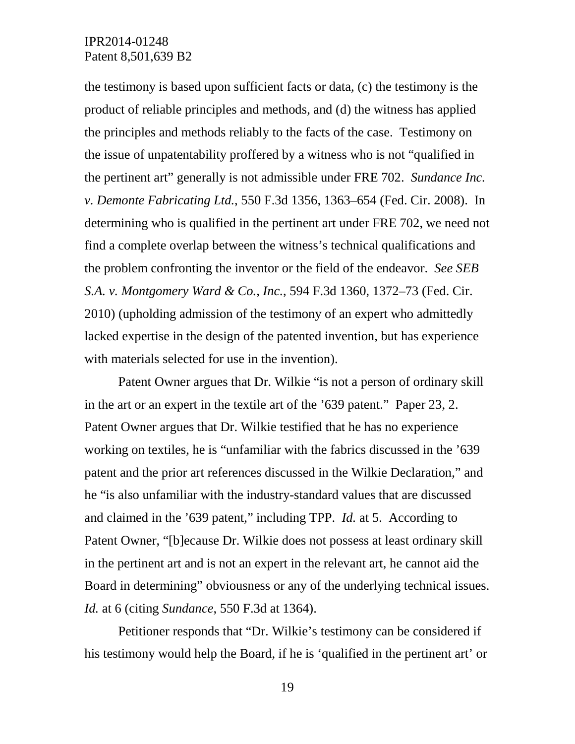the testimony is based upon sufficient facts or data, (c) the testimony is the product of reliable principles and methods, and (d) the witness has applied the principles and methods reliably to the facts of the case. Testimony on the issue of unpatentability proffered by a witness who is not "qualified in the pertinent art" generally is not admissible under FRE 702. *Sundance Inc. v. Demonte Fabricating Ltd.*, 550 F.3d 1356, 1363–654 (Fed. Cir. 2008). In determining who is qualified in the pertinent art under FRE 702, we need not find a complete overlap between the witness's technical qualifications and the problem confronting the inventor or the field of the endeavor. *See SEB S.A. v. Montgomery Ward & Co., Inc.*, 594 F.3d 1360, 1372–73 (Fed. Cir. 2010) (upholding admission of the testimony of an expert who admittedly lacked expertise in the design of the patented invention, but has experience with materials selected for use in the invention).

Patent Owner argues that Dr. Wilkie "is not a person of ordinary skill in the art or an expert in the textile art of the '639 patent." Paper 23, 2. Patent Owner argues that Dr. Wilkie testified that he has no experience working on textiles, he is "unfamiliar with the fabrics discussed in the '639 patent and the prior art references discussed in the Wilkie Declaration," and he "is also unfamiliar with the industry-standard values that are discussed and claimed in the '639 patent," including TPP. *Id.* at 5. According to Patent Owner, "[b]ecause Dr. Wilkie does not possess at least ordinary skill in the pertinent art and is not an expert in the relevant art, he cannot aid the Board in determining" obviousness or any of the underlying technical issues. *Id.* at 6 (citing *Sundance*, 550 F.3d at 1364).

Petitioner responds that "Dr. Wilkie's testimony can be considered if his testimony would help the Board, if he is 'qualified in the pertinent art' or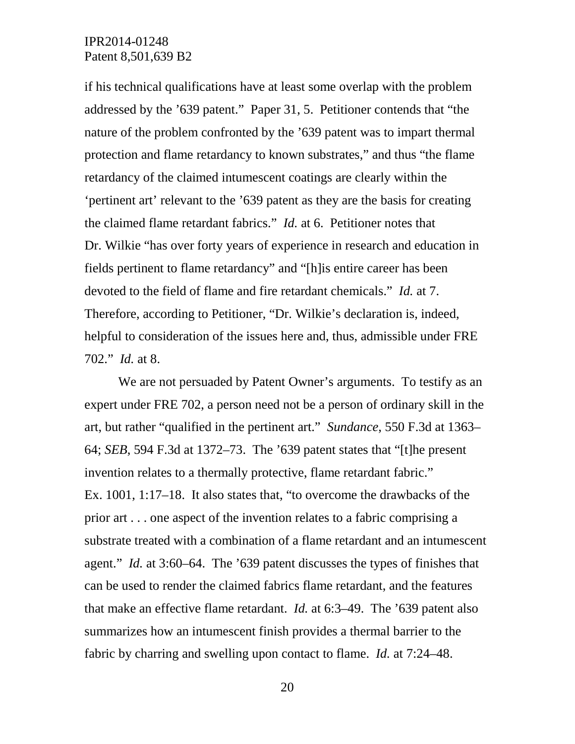if his technical qualifications have at least some overlap with the problem addressed by the '639 patent." Paper 31, 5. Petitioner contends that "the nature of the problem confronted by the '639 patent was to impart thermal protection and flame retardancy to known substrates," and thus "the flame retardancy of the claimed intumescent coatings are clearly within the 'pertinent art' relevant to the '639 patent as they are the basis for creating the claimed flame retardant fabrics." *Id.* at 6. Petitioner notes that Dr. Wilkie "has over forty years of experience in research and education in fields pertinent to flame retardancy" and "[h]is entire career has been devoted to the field of flame and fire retardant chemicals." *Id.* at 7. Therefore, according to Petitioner, "Dr. Wilkie's declaration is, indeed, helpful to consideration of the issues here and, thus, admissible under FRE 702." *Id.* at 8.

We are not persuaded by Patent Owner's arguments. To testify as an expert under FRE 702, a person need not be a person of ordinary skill in the art, but rather "qualified in the pertinent art." *Sundance*, 550 F.3d at 1363– 64; *SEB*, 594 F.3d at 1372–73. The '639 patent states that "[t]he present invention relates to a thermally protective, flame retardant fabric." Ex. 1001, 1:17–18. It also states that, "to overcome the drawbacks of the prior art . . . one aspect of the invention relates to a fabric comprising a substrate treated with a combination of a flame retardant and an intumescent agent." *Id.* at 3:60–64. The '639 patent discusses the types of finishes that can be used to render the claimed fabrics flame retardant, and the features that make an effective flame retardant. *Id.* at 6:3–49. The '639 patent also summarizes how an intumescent finish provides a thermal barrier to the fabric by charring and swelling upon contact to flame. *Id.* at 7:24–48.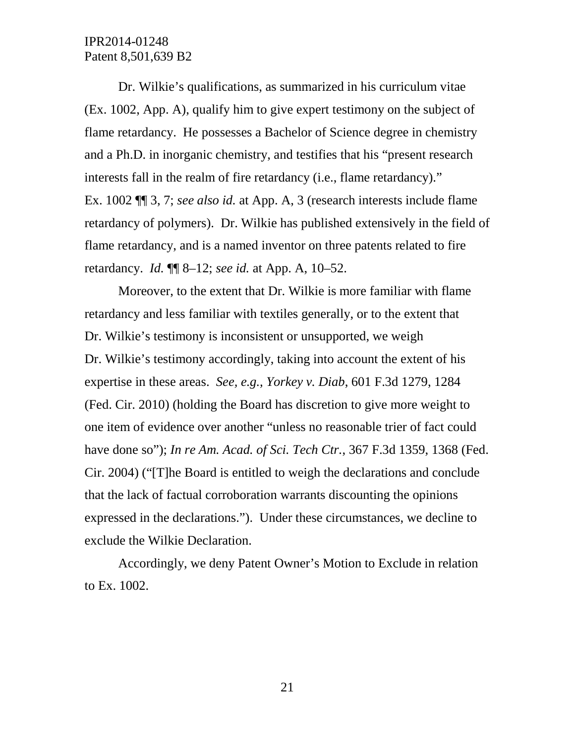Dr. Wilkie's qualifications, as summarized in his curriculum vitae (Ex. 1002, App. A), qualify him to give expert testimony on the subject of flame retardancy. He possesses a Bachelor of Science degree in chemistry and a Ph.D. in inorganic chemistry, and testifies that his "present research interests fall in the realm of fire retardancy (i.e., flame retardancy)." Ex. 1002 ¶¶ 3, 7; *see also id.* at App. A, 3 (research interests include flame retardancy of polymers). Dr. Wilkie has published extensively in the field of flame retardancy, and is a named inventor on three patents related to fire retardancy. *Id.* ¶¶ 8–12; *see id.* at App. A, 10–52.

Moreover, to the extent that Dr. Wilkie is more familiar with flame retardancy and less familiar with textiles generally, or to the extent that Dr. Wilkie's testimony is inconsistent or unsupported, we weigh Dr. Wilkie's testimony accordingly, taking into account the extent of his expertise in these areas. *See, e.g., Yorkey v. Diab*, 601 F.3d 1279, 1284 (Fed. Cir. 2010) (holding the Board has discretion to give more weight to one item of evidence over another "unless no reasonable trier of fact could have done so"); *In re Am. Acad. of Sci. Tech Ctr.*, 367 F.3d 1359, 1368 (Fed. Cir. 2004) ("[T]he Board is entitled to weigh the declarations and conclude that the lack of factual corroboration warrants discounting the opinions expressed in the declarations."). Under these circumstances, we decline to exclude the Wilkie Declaration.

Accordingly, we deny Patent Owner's Motion to Exclude in relation to Ex. 1002.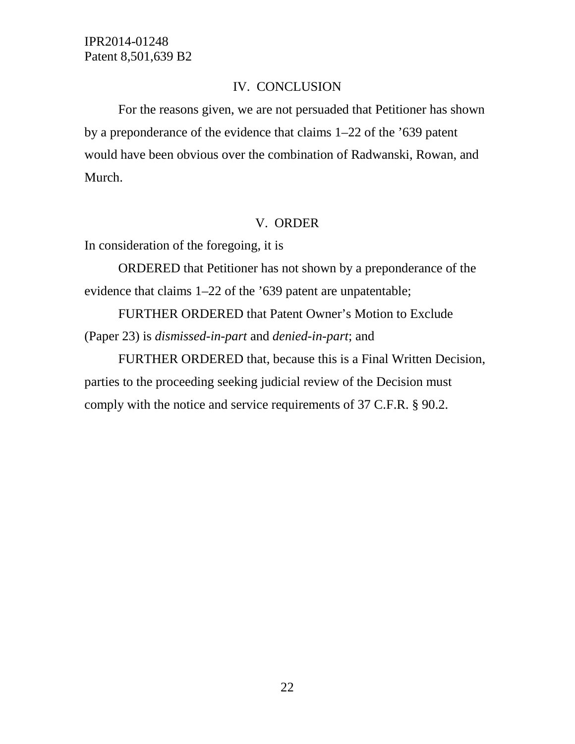#### IV. CONCLUSION

For the reasons given, we are not persuaded that Petitioner has shown by a preponderance of the evidence that claims 1–22 of the '639 patent would have been obvious over the combination of Radwanski, Rowan, and Murch.

## V. ORDER

In consideration of the foregoing, it is

ORDERED that Petitioner has not shown by a preponderance of the evidence that claims 1–22 of the '639 patent are unpatentable;

FURTHER ORDERED that Patent Owner's Motion to Exclude (Paper 23) is *dismissed-in-part* and *denied-in-part*; and

FURTHER ORDERED that, because this is a Final Written Decision, parties to the proceeding seeking judicial review of the Decision must comply with the notice and service requirements of 37 C.F.R. § 90.2.